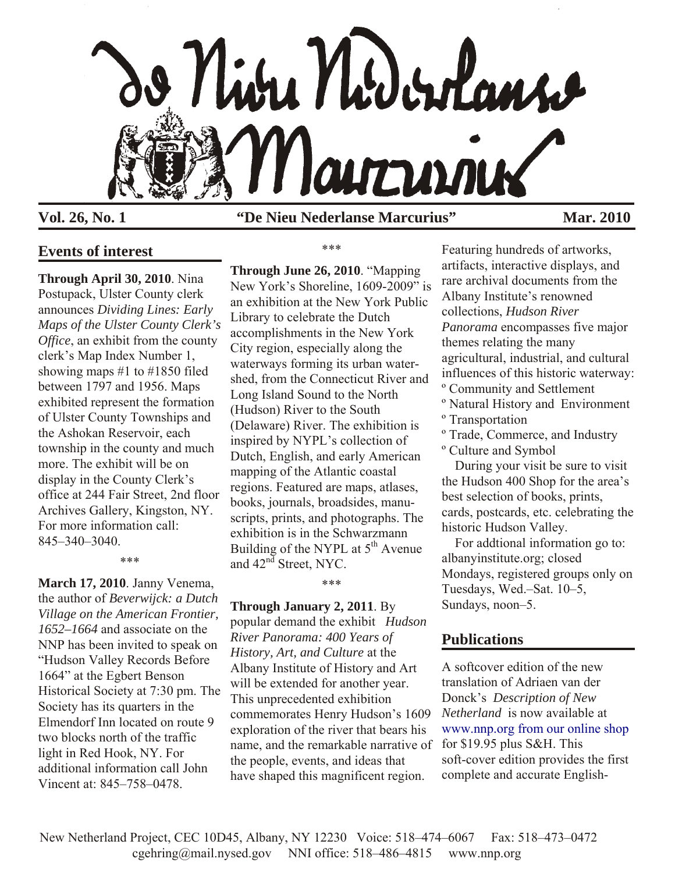

**Vol. 26, No. 1 "De Nieu Nederlanse Marcurius" Mar. 2010**

\*\*\*

# **Events of interest**

**Through April 30, 2010**. Nina Postupack, Ulster County clerk announces *Dividing Lines: Early Maps of the Ulster County Clerk's Office*, an exhibit from the county clerk's Map Index Number 1, showing maps #1 to #1850 filed between 1797 and 1956. Maps exhibited represent the formation of Ulster County Townships and the Ashokan Reservoir, each township in the county and much more. The exhibit will be on display in the County Clerk's office at 244 Fair Street, 2nd floor Archives Gallery, Kingston, NY. For more information call: 845–340–3040.

\*\*\*

**March 17, 2010**. Janny Venema, the author of *Beverwijck: a Dutch Village on the American Frontier, 1652–1664* and associate on the NNP has been invited to speak on "Hudson Valley Records Before 1664" at the Egbert Benson Historical Society at 7:30 pm. The Society has its quarters in the Elmendorf Inn located on route 9 two blocks north of the traffic light in Red Hook, NY. For additional information call John Vincent at: 845–758–0478.

**Through June 26, 2010**. "Mapping New York's Shoreline, 1609-2009" is an exhibition at the New York Public Library to celebrate the Dutch accomplishments in the New York City region, especially along the waterways forming its urban watershed, from the Connecticut River and Long Island Sound to the North (Hudson) River to the South (Delaware) River. The exhibition is inspired by NYPL's collection of Dutch, English, and early American mapping of the Atlantic coastal regions. Featured are maps, atlases, books, journals, broadsides, manuscripts, prints, and photographs. The exhibition is in the Schwarzmann Building of the NYPL at 5<sup>th</sup> Avenue and  $42<sup>n\overline{d}</sup>$  Street, NYC.

\*\*\*

### **Through January 2, 2011**. By

popular demand the exhibit *Hudson River Panorama: 400 Years of History, Art, and Culture* at the Albany Institute of History and Art will be extended for another year. This unprecedented exhibition commemorates Henry Hudson's 1609 exploration of the river that bears his name, and the remarkable narrative of the people, events, and ideas that have shaped this magnificent region.

Featuring hundreds of artworks, artifacts, interactive displays, and rare archival documents from the Albany Institute's renowned collections, *Hudson River Panorama* encompasses five major themes relating the many agricultural, industrial, and cultural influences of this historic waterway: º Community and Settlement º Natural History and Environment

- º Transportation
- º Trade, Commerce, and Industry
- º Culture and Symbol

 During your visit be sure to visit the Hudson 400 Shop for the area's best selection of books, prints, cards, postcards, etc. celebrating the historic Hudson Valley.

 For addtional information go to: albanyinstitute.org; closed Mondays, registered groups only on Tuesdays, Wed.–Sat. 10–5, Sundays, noon–5.

# **Publications**

A softcover edition of the new translation of Adriaen van der Donck's *Description of New Netherland* is now available at [www.nnp.org from our online shop](http://www.nnp.org/shop1/books/a-description-of-new-netherland/prod_78.html) for \$19.95 plus S&H. This soft-cover edition provides the first complete and accurate English-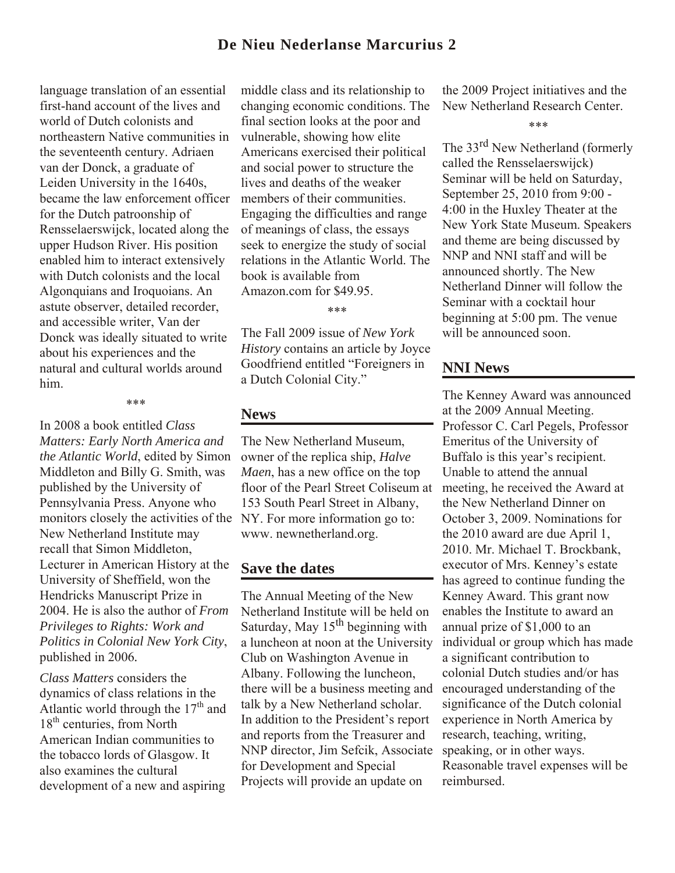# **De Nieu Nederlanse Marcurius 2**

language translation of an essential first-hand account of the lives and world of Dutch colonists and northeastern Native communities in the seventeenth century. Adriaen van der Donck, a graduate of Leiden University in the 1640s, became the law enforcement officer for the Dutch patroonship of Rensselaerswijck, located along the upper Hudson River. His position enabled him to interact extensively with Dutch colonists and the local Algonquians and Iroquoians. An astute observer, detailed recorder, and accessible writer, Van der Donck was ideally situated to write about his experiences and the natural and cultural worlds around him.

In 2008 a book entitled *Class Matters: Early North America and the Atlantic World*, edited by Simon Middleton and Billy G. Smith, was published by the University of Pennsylvania Press. Anyone who monitors closely the activities of the NY. For more information go to: New Netherland Institute may recall that Simon Middleton, Lecturer in American History at the University of Sheffield, won the Hendricks Manuscript Prize in 2004. He is also the author of *From Privileges to Rights: Work and Politics in Colonial New York City*, published in 2006*.*

\*\*\*

*Class Matters* considers the dynamics of class relations in the Atlantic world through the  $17<sup>th</sup>$  and  $18<sup>th</sup>$  centuries, from North American Indian communities to the tobacco lords of Glasgow. It also examines the cultural development of a new and aspiring

middle class and its relationship to changing economic conditions. The final section looks at the poor and vulnerable, showing how elite Americans exercised their political and social power to structure the lives and deaths of the weaker members of their communities. Engaging the difficulties and range of meanings of class, the essays seek to energize the study of social relations in the Atlantic World. The book is available from Amazon.com for \$49.95.

The Fall 2009 issue of *New York History* contains an article by Joyce Goodfriend entitled "Foreigners in a Dutch Colonial City."

\*\*\*

#### **News**

The New Netherland Museum, owner of the replica ship, *Halve Maen*, has a new office on the top floor of the Pearl Street Coliseum at 153 South Pearl Street in Albany, www. newnetherland.org.

### **Save the dates**

The Annual Meeting of the New Netherland Institute will be held on Saturday, May  $15<sup>th</sup>$  beginning with a luncheon at noon at the University Club on Washington Avenue in Albany. Following the luncheon, there will be a business meeting and talk by a New Netherland scholar. In addition to the President's report and reports from the Treasurer and NNP director, Jim Sefcik, Associate for Development and Special Projects will provide an update on

the 2009 Project initiatives and the New Netherland Research Center.

\*\*\*

The 33<sup>rd</sup> New Netherland (formerly called the Rensselaerswijck) Seminar will be held on Saturday, September 25, 2010 from 9:00 - 4:00 in the Huxley Theater at the New York State Museum. Speakers and theme are being discussed by NNP and NNI staff and will be announced shortly. The New Netherland Dinner will follow the Seminar with a cocktail hour beginning at 5:00 pm. The venue will be announced soon.

### **NNI News**

The Kenney Award was announced at the 2009 Annual Meeting. Professor C. Carl Pegels, Professor Emeritus of the University of Buffalo is this year's recipient. Unable to attend the annual meeting, he received the Award at the New Netherland Dinner on October 3, 2009. Nominations for the 2010 award are due April 1, 2010. Mr. Michael T. Brockbank, executor of Mrs. Kenney's estate has agreed to continue funding the Kenney Award. This grant now enables the Institute to award an annual prize of \$1,000 to an individual or group which has made a significant contribution to colonial Dutch studies and/or has encouraged understanding of the significance of the Dutch colonial experience in North America by research, teaching, writing, speaking, or in other ways. Reasonable travel expenses will be reimbursed.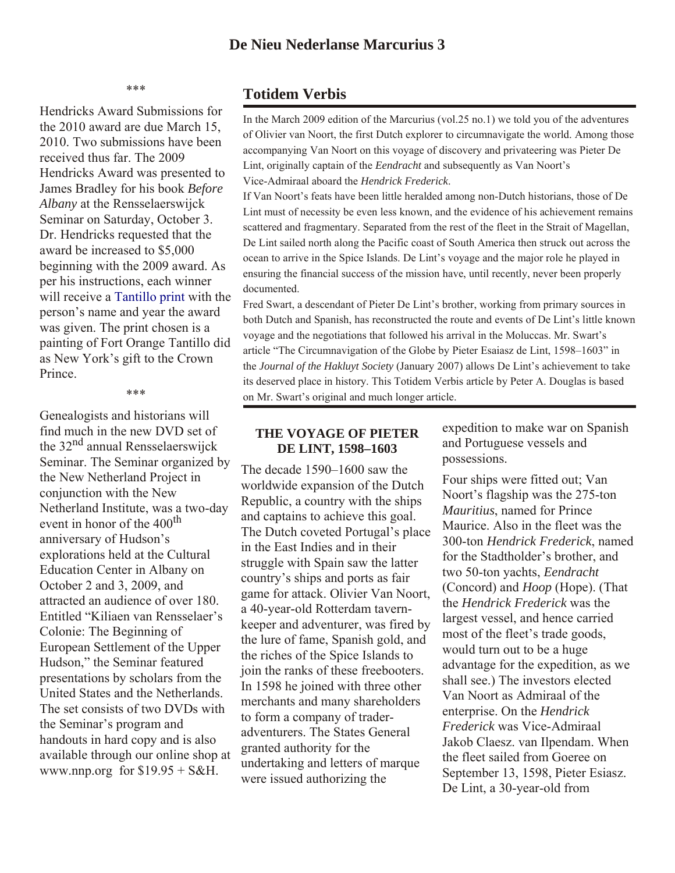\*\*\*

Hendricks Award Submissions for the 2010 award are due March 15, 2010. Two submissions have been received thus far. The 2009 Hendricks Award was presented to James Bradley for his book *Before Albany* at the Rensselaerswijck Seminar on Saturday, October 3. Dr. Hendricks requested that the award be increased to \$5,000 beginning with the 2009 award. As per his instructions, each winner will receive a [Tantillo print](http://www.lftantillo.com) with the person's name and year the award was given. The print chosen is a painting of Fort Orange Tantillo did as New York's gift to the Crown Prince.

\*\*\*

Genealogists and historians will find much in the new DVD set of the 32<sup>nd</sup> annual Rensselaerswijck Seminar. The Seminar organized by the New Netherland Project in conjunction with the New Netherland Institute, was a two-day event in honor of the 400<sup>th</sup> anniversary of Hudson's explorations held at the Cultural Education Center in Albany on October 2 and 3, 2009, and attracted an audience of over 180. Entitled "Kiliaen van Rensselaer's Colonie: The Beginning of European Settlement of the Upper Hudson," the Seminar featured presentations by scholars from the United States and the Netherlands. The set consists of two DVDs with the Seminar's program and handouts in hard copy and is also available through our online shop at www.nnp.org for  $$19.95 + S\&H$ .

### **Totidem Verbis**

In the March 2009 edition of the Marcurius (vol.25 no.1) we told you of the adventures of Olivier van Noort, the first Dutch explorer to circumnavigate the world. Among those accompanying Van Noort on this voyage of discovery and privateering was Pieter De Lint, originally captain of the *Eendracht* and subsequently as Van Noort's Vice-Admiraal aboard the *Hendrick Frederick*.

If Van Noort's feats have been little heralded among non-Dutch historians, those of De Lint must of necessity be even less known, and the evidence of his achievement remains scattered and fragmentary. Separated from the rest of the fleet in the Strait of Magellan, De Lint sailed north along the Pacific coast of South America then struck out across the ocean to arrive in the Spice Islands. De Lint's voyage and the major role he played in ensuring the financial success of the mission have, until recently, never been properly documented.

Fred Swart, a descendant of Pieter De Lint's brother, working from primary sources in both Dutch and Spanish, has reconstructed the route and events of De Lint's little known voyage and the negotiations that followed his arrival in the Moluccas. Mr. Swart's article "The Circumnavigation of the Globe by Pieter Esaiasz de Lint, 1598–1603" in the *Journal of the Hakluyt Society* (January 2007) allows De Lint's achievement to take its deserved place in history. This Totidem Verbis article by Peter A. Douglas is based on Mr. Swart's original and much longer article.

### **THE VOYAGE OF PIETER DE LINT, 1598–1603**

The decade 1590–1600 saw the worldwide expansion of the Dutch Republic, a country with the ships and captains to achieve this goal. The Dutch coveted Portugal's place in the East Indies and in their struggle with Spain saw the latter country's ships and ports as fair game for attack. Olivier Van Noort, a 40-year-old Rotterdam tavernkeeper and adventurer, was fired by the lure of fame, Spanish gold, and the riches of the Spice Islands to join the ranks of these freebooters. In 1598 he joined with three other merchants and many shareholders to form a company of traderadventurers. The States General granted authority for the undertaking and letters of marque were issued authorizing the

expedition to make war on Spanish and Portuguese vessels and possessions.

Four ships were fitted out; Van Noort's flagship was the 275-ton *Mauritius*, named for Prince Maurice. Also in the fleet was the 300-ton *Hendrick Frederick*, named for the Stadtholder's brother, and two 50-ton yachts, *Eendracht* (Concord) and *Hoop* (Hope). (That the *Hendrick Frederick* was the largest vessel, and hence carried most of the fleet's trade goods, would turn out to be a huge advantage for the expedition, as we shall see.) The investors elected Van Noort as Admiraal of the enterprise. On the *Hendrick Frederick* was Vice-Admiraal Jakob Claesz. van Ilpendam. When the fleet sailed from Goeree on September 13, 1598, Pieter Esiasz. De Lint, a 30-year-old from